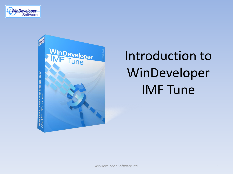



# Introduction to WinDeveloper IMF Tune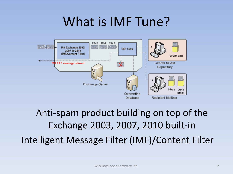#### What is IMF Tune?



Anti-spam product building on top of the Exchange 2003, 2007, 2010 built-in Intelligent Message Filter (IMF)/Content Filter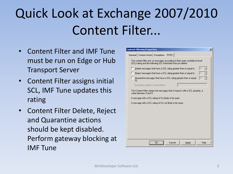# Quick Look at Exchange 2007/2010 Content Filter...

- Content Filter and IMF Tune must be run on Edge or Hub Transport Server
- Content Filter assigns initial SCL, IMF Tune updates this rating
- Content Filter Delete, Reject and Quarantine actions should be kept disabled. Perform gateway blocking at IMF Tune

| <b>Content Filtering Properties</b>                                                                                                            | $\vert x \vert$ |
|------------------------------------------------------------------------------------------------------------------------------------------------|-----------------|
| General   Custom Words   Exceptions   Action                                                                                                   |                 |
| The content filter acts on messages according to their spam confidence level<br>(SCL) rating and the following SCL thresholds that you define: |                 |
| 19<br>Delete messages that have a SCL rating greater than or equal to:                                                                         |                 |
| Reject messages that have a SCL rating greater than or equal to:                                                                               |                 |
| п<br>Quarantine messages that have a SCL rating greater than or equal<br>19<br>to:                                                             |                 |
| Quarantine mailbox e-mail address:                                                                                                             |                 |
| The Content Filter stamps the messages that it inspects with a SCL property, a<br>value between 0 and 9.                                       |                 |
| A message with a SCL rating of 9 is likely to be spam.                                                                                         |                 |
| A message with a SCL rating of 0 is not likely to be spam.                                                                                     |                 |
|                                                                                                                                                |                 |
|                                                                                                                                                |                 |
|                                                                                                                                                |                 |
|                                                                                                                                                |                 |
|                                                                                                                                                |                 |
|                                                                                                                                                |                 |
|                                                                                                                                                |                 |
| $\overline{\mathsf{OK}}$<br>Cancel<br>Help<br>Apply                                                                                            |                 |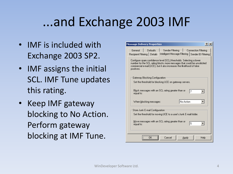#### ...and Exchange 2003 IMF

- IMF is included with Exchange 2003 SP2.
- IMF assigns the initial SCL. IMF Tune updates this rating.
- Keep IMF gateway blocking to No Action. Perform gateway blocking at IMF Tune.

| <b>Message Delivery Properties</b><br>$ ?  \times$                                                                                                                                                                                       |
|------------------------------------------------------------------------------------------------------------------------------------------------------------------------------------------------------------------------------------------|
| General<br>Defaults<br>Sender Filtering<br>Connection Filtering<br>Intelligent Message Filtering   <br>Recipient Filtering   Details<br>Sender ID Filtering                                                                              |
| Configure spam confidence level (SCL) thresholds. Selecting a lower<br>number for the SCL rating blocks more messages that could be unsolicited<br>commercial e-mail (UCE), but it also increases the likelihood of false.<br>positives. |
| Gateway Blocking Configuration:                                                                                                                                                                                                          |
| Set the threshold for blocking UCE on gateway servers.                                                                                                                                                                                   |
| Block messages with an SCL rating greater than or<br>7<br>equal to:                                                                                                                                                                      |
| No Action<br>When blocking messages:                                                                                                                                                                                                     |
| Store Junk E-mail Configuration:                                                                                                                                                                                                         |
| Set the threshold for moving UCE to a user's Junk E-mail folder.                                                                                                                                                                         |
| Move messages with an SCL rating greater than or<br>5<br>equal to:                                                                                                                                                                       |
| Cancel<br>Help<br>Apply                                                                                                                                                                                                                  |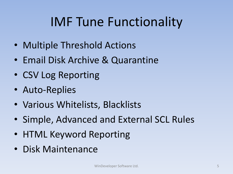### IMF Tune Functionality

- Multiple Threshold Actions
- Email Disk Archive & Quarantine
- CSV Log Reporting
- Auto-Replies
- Various Whitelists, Blacklists
- Simple, Advanced and External SCL Rules
- HTML Keyword Reporting
- Disk Maintenance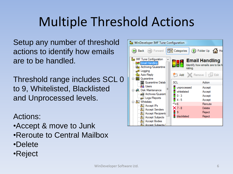## Multiple Threshold Actions

Setup any number of threshold actions to identify how emails are to be handled.

Threshold range includes SCL 0 to 9, Whitelisted, Blacklisted and Unprocessed levels.

Actions:

- •Accept & move to Junk
- •Reroute to Central Mailbox
- •Delete
- •Reject

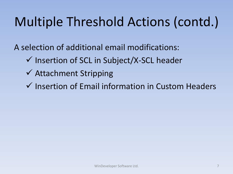# Multiple Threshold Actions (contd.)

A selection of additional email modifications:

- $\checkmark$  Insertion of SCL in Subject/X-SCL header
- Attachment Stripping
- $\checkmark$  Insertion of Email information in Custom Headers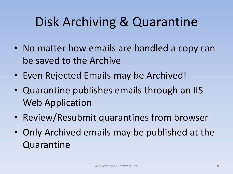### Disk Archiving & Quarantine

- No matter how emails are handled a copy can be saved to the Archive
- Even Rejected Emails may be Archived!
- Quarantine publishes emails through an IIS Web Application
- Review/Resubmit quarantines from browser
- Only Archived emails may be published at the Quarantine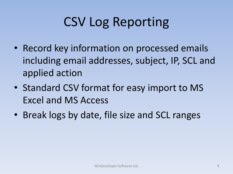# CSV Log Reporting

- Record key information on processed emails including email addresses, subject, IP, SCL and applied action
- Standard CSV format for easy import to MS Excel and MS Access
- Break logs by date, file size and SCL ranges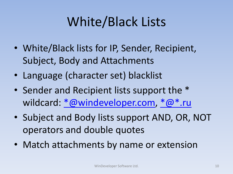### White/Black Lists

- White/Black lists for IP, Sender, Recipient, Subject, Body and Attachments
- Language (character set) blacklist
- Sender and Recipient lists support the \* wildcard: [\\*@windeveloper.com,](mailto:*@windeveloper.com) [\\*@\\*.ru](mailto:*@*.ru)
- Subject and Body lists support AND, OR, NOT operators and double quotes
- Match attachments by name or extension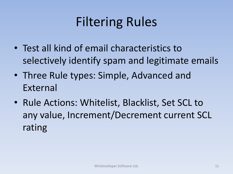## Filtering Rules

- Test all kind of email characteristics to selectively identify spam and legitimate emails
- Three Rule types: Simple, Advanced and External
- Rule Actions: Whitelist, Blacklist, Set SCL to any value, Increment/Decrement current SCL rating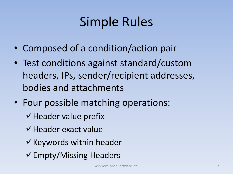#### Simple Rules

- Composed of a condition/action pair
- Test conditions against standard/custom headers, IPs, sender/recipient addresses, bodies and attachments
- Four possible matching operations:
	- $\checkmark$  Header value prefix
	- $\checkmark$  Header exact value
	- $\checkmark$  Keywords within header
	- $\checkmark$ Empty/Missing Headers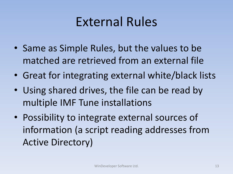#### External Rules

- Same as Simple Rules, but the values to be matched are retrieved from an external file
- Great for integrating external white/black lists
- Using shared drives, the file can be read by multiple IMF Tune installations
- Possibility to integrate external sources of information (a script reading addresses from Active Directory)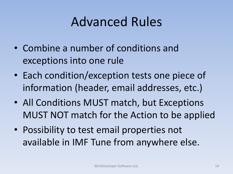#### Advanced Rules

- Combine a number of conditions and exceptions into one rule
- Each condition/exception tests one piece of information (header, email addresses, etc.)
- All Conditions MUST match, but Exceptions MUST NOT match for the Action to be applied
- Possibility to test email properties not available in IMF Tune from anywhere else.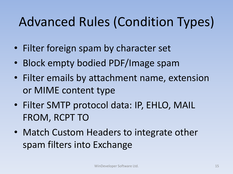# Advanced Rules (Condition Types)

- Filter foreign spam by character set
- Block empty bodied PDF/Image spam
- Filter emails by attachment name, extension or MIME content type
- Filter SMTP protocol data: IP, EHLO, MAIL FROM, RCPT TO
- Match Custom Headers to integrate other spam filters into Exchange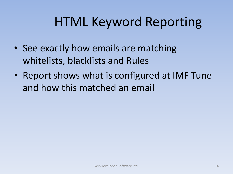### HTML Keyword Reporting

- See exactly how emails are matching whitelists, blacklists and Rules
- Report shows what is configured at IMF Tune and how this matched an email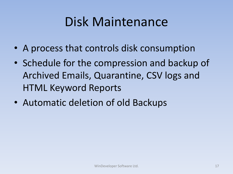#### Disk Maintenance

- A process that controls disk consumption
- Schedule for the compression and backup of Archived Emails, Quarantine, CSV logs and HTML Keyword Reports
- Automatic deletion of old Backups